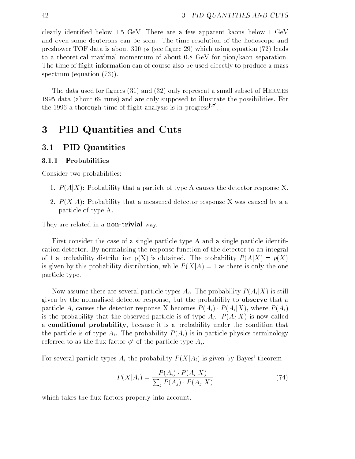clearly identied below 1.5 GeV. There are a few apparent kaons below 1 GeV and even some deuterons can be seen. The time resolution of the hodoscope and preshower TOF data is about 300 ps (see gure 29) which using equation (72) leads to a theoretical maximal momentum of about 0.8 GeV for pion/kaon separation. The time of flight information can of course also be used directly to produce a mass spectrum (equation (73)).

The data used for figures  $(31)$  and  $(32)$  only represent a small subset of HERMES 1995 data (about 69 runs) and are only supposed to illustrate the possibilities. For the 1990 a thorough time of filight analysis is in progress. The

# <sup>3</sup> PID Quantities and Cuts

# 3.1 PID Quantities

#### $3.1.1$ **Probabilities**

Consider two probabilities:

- 1.  $P(A|X)$ : Probability that a particle of type A causes the detector response X.
- 2.  $P(X|A)$ : Probability that a measured detector response X was caused by a a particle of type A.

They are related in a **non-trivial** way.

First consider the case of a single particle type A and a single particle identification detector. By normalising the response function of the detector to an integral of 1 a probability distribution  $p(X)$  is obtained. The probability  $P(A|X) = p(X)$ is given by this probability distribution, while  $P(X|A) = 1$  as there is only the one particle type.

Now assume there are several particle types  $A_i$ . The probability  $P(A_i|X)$  is still given by the normalised detector response, but the probability to observe that a particle  $A_i$  causes the detector response X becomes  $P(A_i) \cdot P(A_i|X)$ , where  $P(A_i)$ is the probability that the observed particle is of type  $A_i$ .  $P(A_i|X)$  is now called a conditional probability, because it is a probability under the condition that the particle is of type  $A_i$ . The probability  $P(A_i)$  is in particle physics terminology referred to as the flux factor  $\phi^i$  of the particle type  $A_i$ .

For several particle types  $A_i$  the probability  $P(X|A_i)$  is given by Bayes' theorem

$$
P(X|A_i) = \frac{P(A_i) \cdot P(A_i|X)}{\sum_j P(A_j) \cdot P(A_j|X)}
$$
(74)

which takes the flux factors properly into account.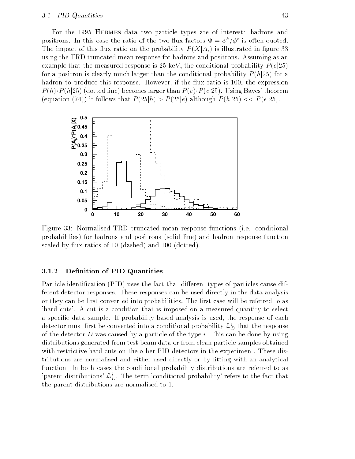#### 3.1 PID Quantities 43

For the 1995 Hermes data two particle types are of interest: hadrons and positrons. In this case the ratio of the two flux factors  $\Phi = \phi^h / \phi^e$  is often quoted. The impact of this flux ratio on the probability  $P(X|A_i)$  is illustrated in figure 33 using the TRD truncated mean response for hadrons and positrons. Assuming as an example that the measured response is 25 keV, the conditional probability  $P(e|25)$ for a positron is clearly much larger than the conditional probability  $P(h|25)$  for a hadron to produce this response. However, if the flux ratio is 100, the expression  $P(h)\cdot P(h|25)$  (dotted line) becomes larger than  $P(e)\cdot P(e|25)$ . Using Bayes' theorem (equation (74)) it follows that  $P(25|h) > P(25|e)$  although  $P(h|25) < P(e|25)$ .



Figure 33: Normalised TRD truncated mean response functions (i.e. conditional probabilities) for hadrons and positrons (solid line) and hadron response function scaled by flux ratios of 10 (dashed) and 100 (dotted).

# 3.1.2 Definition of PID Quantities

Particle identification (PID) uses the fact that different types of particles cause different detector responses. These responses can be used directly in the data analysis or they can be first converted into probabilities. The first case will be referred to as 'hard cuts'. A cut is a condition that is imposed on a measured quantity to select a specic data sample. If probability based analysis is used, the response of each detector must first be converted into a conditional probability  $\omega_{D}^-$  that the response of the detector  $D$  was caused by a particle of the type  $i$ . This can be done by using distributions generated from test beam data or from clean particle samples obtained with restrictive hard cuts on the other PID detectors in the experiment. These distributions are normalised and either used directly or by fitting with an analytical function. In both cases the conditional probability distributions are referred to as 'parent distributions'  $\mathcal{L}_D^i$ . The term 'conditional probability' refers to the fact that the parent distributions are normalised to 1.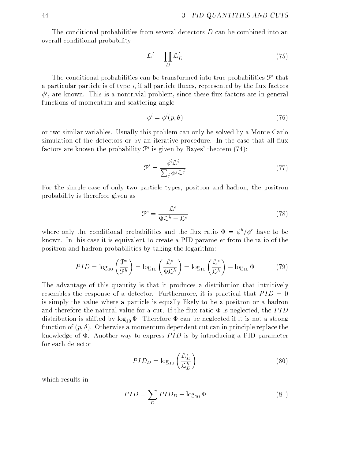The conditional probabilities from several detectors  $D$  can be combined into an overall conditional probability

$$
\mathcal{L}^i = \prod_D \mathcal{L}_D^i \tag{75}
$$

The conditional probabilities can be transformed into true probabilities F that a particular particle is of type  $i$ , if all particle fluxes, represented by the flux factors  $\phi^i$ , are known. This is a nontrivial problem, since these flux factors are in general functions of momentum and scattering angle

$$
\phi^i = \phi^i(p, \theta) \tag{76}
$$

or two similar variables. Usually this problem can only be solved by a Monte Carlo simulation of the detectors or by an iterative procedure. In the case that all flux factors are known the probability  $\mathcal{P}^i$  is given by Bayes' theorem (74):

$$
\mathcal{P}^i = \frac{\phi^i \mathcal{L}^i}{\sum_j \phi^j \mathcal{L}^j} \tag{77}
$$

For the simple case of only two particle types, positron and hadron, the positron probability is therefore given as

$$
\mathcal{P}^e = \frac{\mathcal{L}^e}{\Phi \mathcal{L}^h + \mathcal{L}^e} \tag{78}
$$

where only the conditional probabilities and the flux ratio  $\Phi = \phi^h/\phi^e$  have to be known. In this case it is equivalent to create a PID parameter from the ratio of the positron and hadron probabilities by taking the logarithm:

$$
PID = \log_{10}\left(\frac{\mathcal{P}^e}{\mathcal{P}^h}\right) = \log_{10}\left(\frac{\mathcal{L}^e}{\Phi \mathcal{L}^h}\right) = \log_{10}\left(\frac{\mathcal{L}^e}{\mathcal{L}^h}\right) - \log_{10}\Phi \tag{79}
$$

The advantage of this quantity is that it produces a distribution that intuitively resembles the response of a detector. Furthermore, it is practical that  $PID = 0$ is simply the value where a particle is equally likely to be a positron or a hadron and therefore the natural value for a cut. If the flux ratio  $\Phi$  is neglected, the PID distribution is shifted by  $\log_{10} \Phi$ . Therefore  $\Phi$  can be neglected if it is not a strong function of  $(p, \theta)$ . Otherwise a momentum dependent cut can in principle replace the knowledge of  $\Phi$ . Another way to express PID is by introducing a PID parameter for each detector

$$
PID_D = \log_{10}\left(\frac{\mathcal{L}_D^e}{\mathcal{L}_D^h}\right) \tag{80}
$$

which results in

$$
PID = \sum_{D} PID_{D} - \log_{10} \Phi \tag{81}
$$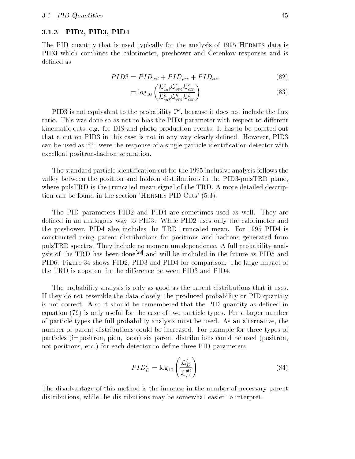### 3.1.3 PID2, PID3, PID4

The PID quantity that is used typically for the analysis of 1995 Hermes data is PID3 which combines the calorimeter, preshower and Cerenkov responses and is defined as

$$
PID3 = PID_{cal} + PID_{pre} + PID_{cer}
$$
\n
$$
(82)
$$

$$
= \log_{10} \left( \frac{\mathcal{L}_{cal}^{e} \mathcal{L}_{pre}^{e} \mathcal{L}_{cer}^{e}}{\mathcal{L}_{cal}^{h} \mathcal{L}_{pre}^{h} \mathcal{L}_{cer}^{h}} \right) \tag{83}
$$

PID3 is not equivalent to the probability  $\mathcal{T}$  , because it does not include the hux ratio. This was done so as not to bias the PID3 parameter with respect to different kinematic cuts, e.g. for DIS and photo production events. It has to be pointed out that a cut on PID3 in this case is not in any way clearly defined. However, PID3 can be used as if it were the response of a single particle identification detector with excellent positron-hadron separation.

The standard particle identification cut for the 1995 inclusive analysis follows the valley between the positron and hadron distributions in the PID3-pulsTRD plane, where pulsTRD is the truncated mean signal of the TRD. A more detailed description can be found in the section 'Hermes PID Cuts' (5.3).

The PID parameters PID2 and PID4 are sometimes used as well. They are defined in an analogous way to PID3. While PID2 uses only the calorimeter and the preshower, PID4 also includes the TRD truncated mean. For 1995 PID4 is constructed using parent distributions for positrons and hadrons generated from pulsTRD spectra. They include no momentum dependence. A full probability analysis of the TRD has been done<sup>[28]</sup> and will be included in the future as PID5 and PID6. Figure 34 shows PID2, PID3 and PID4 for comparison. The large impact of the TRD is apparent in the difference between PID3 and PID4.

The probability analysis is only as good as the parent distributions that it uses. If they do not resemble the data closely, the produced probability or PID quantity is not correct. Also it should be remembered that the PID quantity as dened in equation (79) is only useful for the case of two particle types. For a larger number of particle types the full probability analysis must be used. As an alternative, the number of parent distributions could be increased. For example for three types of particles (i=positron, pion, kaon) six parent distributions could be used (positron, not-positrons, etc.) for each detector to define three PID parameters.

$$
PID_D^i = \log_{10}\left(\frac{\mathcal{L}_D^i}{\mathcal{L}_D^{\neq i}}\right) \tag{84}
$$

The disadvantage of this method is the increase in the number of necessary parent distributions, while the distributions may be somewhat easier to interpret.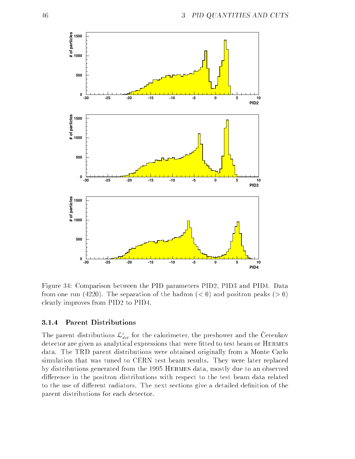

Figure 34: Comparison between the PID parameters PID2, PID3 and PID4. Data from one run (4220). The separation of the hadron  $(< 0)$  and positron peaks ( $> 0$ ) clearly improves from PID2 to PID4.

### 3.1.4 Parent Distributions

The parent distributions  $\omega_{det}$  for the calorimeter, the preshower and the Cerenkov detector are given as analytical expressions that were fitted to test beam or HERMES data. The TRD parent distributions were obtained originally from a Monte Carlo simulation that was tuned to CERN test beam results. They were later replaced by distributions generated from the 1995 Hermes data, mostly due to an observed difference in the positron distributions with respect to the test beam data related to the use of different radiators. The next sections give a detailed definition of the parent distributions for each detector.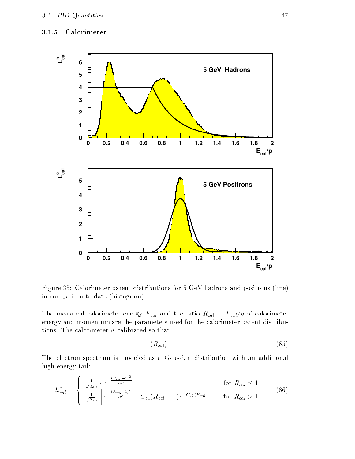# 3.1.5 Calorimeter



Figure 35: Calorimeter parent distributions for 5 GeV hadrons and positrons (line) in comparison to data (histogram)

The measured calorimeter energy  $E_{cal}$  and the ratio  $R_{cal} = E_{cal}/p$  of calorimeter energy and momentum are the parameters used for the calorimeter parent distributions. The calorimeter is calibrated so that

$$
\langle R_{cal} \rangle = 1 \tag{85}
$$

The electron spectrum is modeled as a Gaussian distribution with an additional high energy tail:

$$
\mathcal{L}_{cal}^{e} = \begin{cases}\n\frac{1}{\sqrt{2\pi}\sigma} \cdot e^{-\frac{(R_{cal} - 1)^2}{2\sigma^2}} & \text{for } R_{cal} \le 1 \\
\frac{1}{\sqrt{2\pi}\sigma} \left[ e^{-\frac{(R_{cal} - 1)^2}{2\sigma^2}} + C_{e1}(R_{cal} - 1)e^{-C_{e2}(R_{cal} - 1)} \right] & \text{for } R_{cal} > 1\n\end{cases}
$$
\n(86)